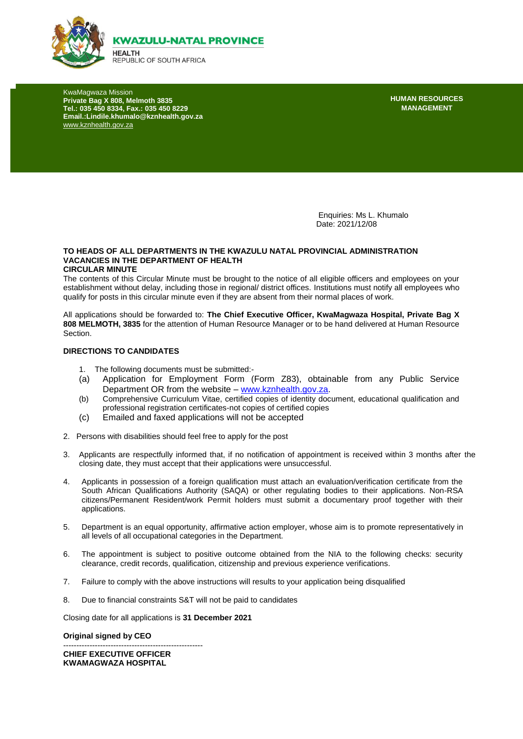

KwaMagwaza Mission **Private Bag X 808, Melmoth 3835 Tel.: 035 450 8334, Fax.: 035 450 8229 Email.:Lindile.khumalo@kznhealth.gov.za**  [www.kznhealth.gov.za](http://www.kznhealth.gov.za/)

**HUMAN RESOURCES MANAGEMENT**

Enquiries: Ms L. Khumalo Date: 2021/12/08

#### **TO HEADS OF ALL DEPARTMENTS IN THE KWAZULU NATAL PROVINCIAL ADMINISTRATION VACANCIES IN THE DEPARTMENT OF HEALTH CIRCULAR MINUTE**

The contents of this Circular Minute must be brought to the notice of all eligible officers and employees on your establishment without delay, including those in regional/ district offices. Institutions must notify all employees who qualify for posts in this circular minute even if they are absent from their normal places of work.

All applications should be forwarded to: **The Chief Executive Officer, KwaMagwaza Hospital, Private Bag X 808 MELMOTH, 3835** for the attention of Human Resource Manager or to be hand delivered at Human Resource Section.

#### **DIRECTIONS TO CANDIDATES**

- 1. The following documents must be submitted:-
- (a) Application for Employment Form (Form Z83), obtainable from any Public Service Department OR from the website – [www.kznhealth.gov.za.](http://www.kznhealth.gov.za/)
- (b) Comprehensive Curriculum Vitae, certified copies of identity document, educational qualification and professional registration certificates-not copies of certified copies
- (c) Emailed and faxed applications will not be accepted
- 2. Persons with disabilities should feel free to apply for the post
- 3. Applicants are respectfully informed that, if no notification of appointment is received within 3 months after the closing date, they must accept that their applications were unsuccessful.
- 4. Applicants in possession of a foreign qualification must attach an evaluation/verification certificate from the South African Qualifications Authority (SAQA) or other regulating bodies to their applications. Non-RSA citizens/Permanent Resident/work Permit holders must submit a documentary proof together with their applications.
- 5. Department is an equal opportunity, affirmative action employer, whose aim is to promote representatively in all levels of all occupational categories in the Department.
- 6. The appointment is subject to positive outcome obtained from the NIA to the following checks: security clearance, credit records, qualification, citizenship and previous experience verifications.
- 7. Failure to comply with the above instructions will results to your application being disqualified
- 8. Due to financial constraints S&T will not be paid to candidates

Closing date for all applications is **31 December 2021**

#### **Original signed by CEO**

----------------------------------------------------- **CHIEF EXECUTIVE OFFICER KWAMAGWAZA HOSPITAL**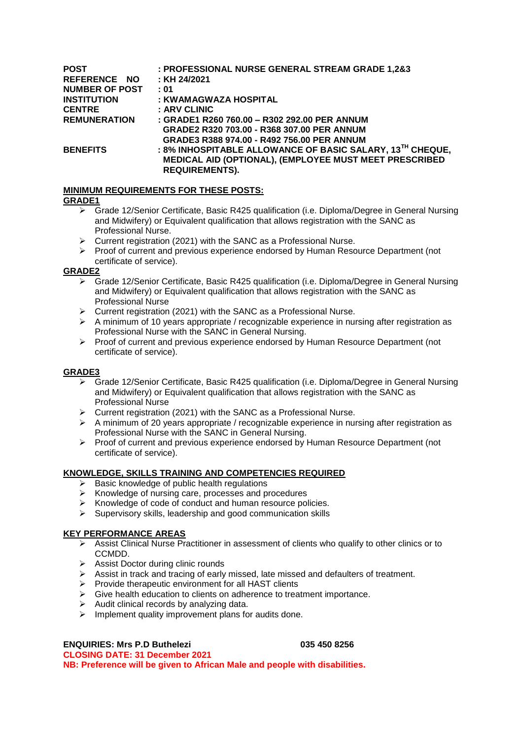| <b>POST</b>           | : PROFESSIONAL NURSE GENERAL STREAM GRADE 1,2&3                       |
|-----------------------|-----------------------------------------------------------------------|
| REFERENCE NO          | : KH 24/2021                                                          |
| <b>NUMBER OF POST</b> | : 01                                                                  |
| <b>INSTITUTION</b>    | : KWAMAGWAZA HOSPITAL                                                 |
| <b>CENTRE</b>         | : ARV CLINIC                                                          |
| <b>REMUNERATION</b>   | : GRADE1 R260 760.00 - R302 292.00 PER ANNUM                          |
|                       | GRADE2 R320 703.00 - R368 307.00 PER ANNUM                            |
|                       | GRADE3 R388 974.00 - R492 756.00 PER ANNUM                            |
| <b>BENEFITS</b>       | : 8% INHOSPITABLE ALLOWANCE OF BASIC SALARY, 13 <sup>TH</sup> CHEQUE, |
|                       | MEDICAL AID (OPTIONAL), (EMPLOYEE MUST MEET PRESCRIBED                |
|                       | <b>REQUIREMENTS).</b>                                                 |

### **MINIMUM REQUIREMENTS FOR THESE POSTS:**

#### **GRADE1**

- Grade 12/Senior Certificate, Basic R425 qualification (i.e. Diploma/Degree in General Nursing and Midwifery) or Equivalent qualification that allows registration with the SANC as Professional Nurse.
- $\triangleright$  Current registration (2021) with the SANC as a Professional Nurse.
- Proof of current and previous experience endorsed by Human Resource Department (not certificate of service).

### **GRADE2**

- Grade 12/Senior Certificate, Basic R425 qualification (i.e. Diploma/Degree in General Nursing and Midwifery) or Equivalent qualification that allows registration with the SANC as Professional Nurse
- $\triangleright$  Current registration (2021) with the SANC as a Professional Nurse.
- $\triangleright$  A minimum of 10 years appropriate / recognizable experience in nursing after registration as Professional Nurse with the SANC in General Nursing.
- $\triangleright$  Proof of current and previous experience endorsed by Human Resource Department (not certificate of service).

## **GRADE3**

- $\triangleright$  Grade 12/Senior Certificate, Basic R425 qualification (i.e. Diploma/Degree in General Nursing and Midwifery) or Equivalent qualification that allows registration with the SANC as Professional Nurse
- $\triangleright$  Current registration (2021) with the SANC as a Professional Nurse.
- A minimum of 20 years appropriate / recognizable experience in nursing after registration as Professional Nurse with the SANC in General Nursing.
- $\triangleright$  Proof of current and previous experience endorsed by Human Resource Department (not certificate of service).

## **KNOWLEDGE, SKILLS TRAINING AND COMPETENCIES REQUIRED**

- $\triangleright$  Basic knowledge of public health regulations
- $\triangleright$  Knowledge of nursing care, processes and procedures
- $\triangleright$  Knowledge of code of conduct and human resource policies.
- $\triangleright$  Supervisory skills, leadership and good communication skills

## **KEY PERFORMANCE AREAS**

- $\triangleright$  Assist Clinical Nurse Practitioner in assessment of clients who qualify to other clinics or to CCMDD.
- > Assist Doctor during clinic rounds
- $\triangleright$  Assist in track and tracing of early missed, late missed and defaulters of treatment.
- $\triangleright$  Provide therapeutic environment for all HAST clients
- $\triangleright$  Give health education to clients on adherence to treatment importance.
- $\triangleright$  Audit clinical records by analyzing data.
- $\triangleright$  Implement quality improvement plans for audits done.

## **ENQUIRIES: Mrs P.D Buthelezi 035 450 8256**

**CLOSING DATE: 31 December 2021 NB: Preference will be given to African Male and people with disabilities.**